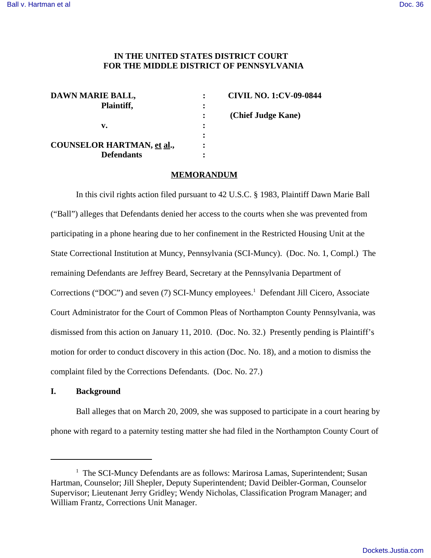# **IN THE UNITED STATES DISTRICT COURT FOR THE MIDDLE DISTRICT OF PENNSYLVANIA**

| DAWN MARIE BALL,                  |                | <b>CIVIL NO. 1:CV-09-0844</b> |
|-----------------------------------|----------------|-------------------------------|
| Plaintiff,                        | :              |                               |
|                                   |                | (Chief Judge Kane)            |
| v.                                | :              |                               |
|                                   |                |                               |
| <b>COUNSELOR HARTMAN, et al.,</b> | $\ddot{\cdot}$ |                               |
| <b>Defendants</b>                 |                |                               |

#### **MEMORANDUM**

In this civil rights action filed pursuant to 42 U.S.C. § 1983, Plaintiff Dawn Marie Ball ("Ball") alleges that Defendants denied her access to the courts when she was prevented from participating in a phone hearing due to her confinement in the Restricted Housing Unit at the State Correctional Institution at Muncy, Pennsylvania (SCI-Muncy). (Doc. No. 1, Compl.) The remaining Defendants are Jeffrey Beard, Secretary at the Pennsylvania Department of Corrections ("DOC") and seven (7) SCI-Muncy employees.<sup>1</sup> Defendant Jill Cicero, Associate Court Administrator for the Court of Common Pleas of Northampton County Pennsylvania, was dismissed from this action on January 11, 2010. (Doc. No. 32.) Presently pending is Plaintiff's motion for order to conduct discovery in this action (Doc. No. 18), and a motion to dismiss the complaint filed by the Corrections Defendants. (Doc. No. 27.)

### **I. Background**

Ball alleges that on March 20, 2009, she was supposed to participate in a court hearing by phone with regard to a paternity testing matter she had filed in the Northampton County Court of

<sup>&</sup>lt;sup>1</sup> The SCI-Muncy Defendants are as follows: Marirosa Lamas, Superintendent; Susan Hartman, Counselor; Jill Shepler, Deputy Superintendent; David Deibler-Gorman, Counselor Supervisor; Lieutenant Jerry Gridley; Wendy Nicholas, Classification Program Manager; and William Frantz, Corrections Unit Manager.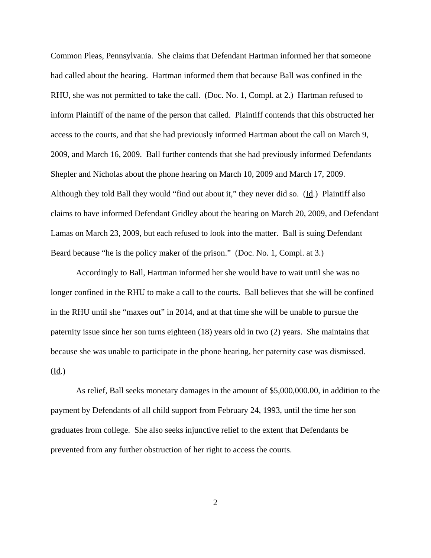Common Pleas, Pennsylvania. She claims that Defendant Hartman informed her that someone had called about the hearing. Hartman informed them that because Ball was confined in the RHU, she was not permitted to take the call. (Doc. No. 1, Compl. at 2.) Hartman refused to inform Plaintiff of the name of the person that called. Plaintiff contends that this obstructed her access to the courts, and that she had previously informed Hartman about the call on March 9, 2009, and March 16, 2009. Ball further contends that she had previously informed Defendants Shepler and Nicholas about the phone hearing on March 10, 2009 and March 17, 2009. Although they told Ball they would "find out about it," they never did so. (Id.) Plaintiff also claims to have informed Defendant Gridley about the hearing on March 20, 2009, and Defendant Lamas on March 23, 2009, but each refused to look into the matter. Ball is suing Defendant Beard because "he is the policy maker of the prison." (Doc. No. 1, Compl. at 3.)

Accordingly to Ball, Hartman informed her she would have to wait until she was no longer confined in the RHU to make a call to the courts. Ball believes that she will be confined in the RHU until she "maxes out" in 2014, and at that time she will be unable to pursue the paternity issue since her son turns eighteen (18) years old in two (2) years. She maintains that because she was unable to participate in the phone hearing, her paternity case was dismissed. (Id.)

As relief, Ball seeks monetary damages in the amount of \$5,000,000.00, in addition to the payment by Defendants of all child support from February 24, 1993, until the time her son graduates from college. She also seeks injunctive relief to the extent that Defendants be prevented from any further obstruction of her right to access the courts.

2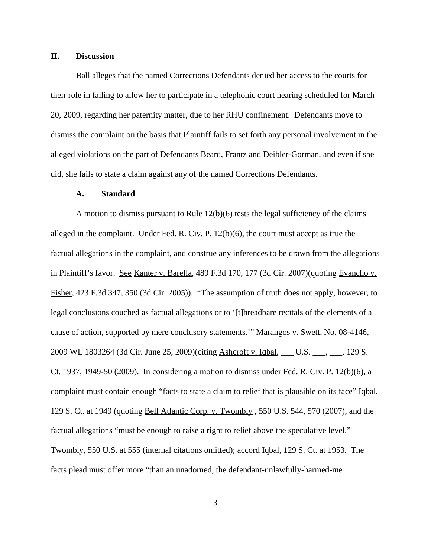### **II. Discussion**

Ball alleges that the named Corrections Defendants denied her access to the courts for their role in failing to allow her to participate in a telephonic court hearing scheduled for March 20, 2009, regarding her paternity matter, due to her RHU confinement. Defendants move to dismiss the complaint on the basis that Plaintiff fails to set forth any personal involvement in the alleged violations on the part of Defendants Beard, Frantz and Deibler-Gorman, and even if she did, she fails to state a claim against any of the named Corrections Defendants.

#### **A. Standard**

A motion to dismiss pursuant to Rule  $12(b)(6)$  tests the legal sufficiency of the claims alleged in the complaint. Under Fed. R. Civ. P. 12(b)(6), the court must accept as true the factual allegations in the complaint, and construe any inferences to be drawn from the allegations in Plaintiff's favor. See Kanter v. Barella, 489 F.3d 170, 177 (3d Cir. 2007) (quoting Evancho v. Fisher, 423 F.3d 347, 350 (3d Cir. 2005)). "The assumption of truth does not apply, however, to legal conclusions couched as factual allegations or to '[t]hreadbare recitals of the elements of a cause of action, supported by mere conclusory statements.'" Marangos v. Swett, No. 08-4146, 2009 WL 1803264 (3d Cir. June 25, 2009)(citing Ashcroft v. Iqbal, \_\_\_ U.S. \_\_\_, \_\_\_, 129 S. Ct. 1937, 1949-50 (2009). In considering a motion to dismiss under Fed. R. Civ. P. 12(b)(6), a complaint must contain enough "facts to state a claim to relief that is plausible on its face" Iqbal, 129 S. Ct. at 1949 (quoting Bell Atlantic Corp. v. Twombly , 550 U.S. 544, 570 (2007), and the factual allegations "must be enough to raise a right to relief above the speculative level." Twombly, 550 U.S. at 555 (internal citations omitted); accord Iqbal, 129 S. Ct. at 1953. The facts plead must offer more "than an unadorned, the defendant-unlawfully-harmed-me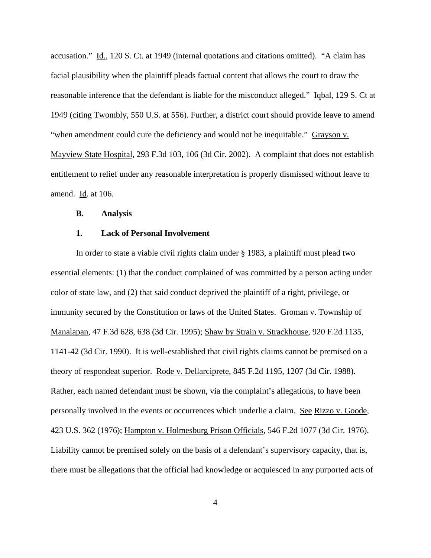accusation." Id., 120 S. Ct. at 1949 (internal quotations and citations omitted). "A claim has facial plausibility when the plaintiff pleads factual content that allows the court to draw the reasonable inference that the defendant is liable for the misconduct alleged." Iqbal, 129 S. Ct at 1949 (citing Twombly, 550 U.S. at 556). Further, a district court should provide leave to amend "when amendment could cure the deficiency and would not be inequitable." Grayson v. Mayview State Hospital, 293 F.3d 103, 106 (3d Cir. 2002). A complaint that does not establish entitlement to relief under any reasonable interpretation is properly dismissed without leave to amend. Id. at 106.

### **B. Analysis**

### **1. Lack of Personal Involvement**

In order to state a viable civil rights claim under § 1983, a plaintiff must plead two essential elements: (1) that the conduct complained of was committed by a person acting under color of state law, and (2) that said conduct deprived the plaintiff of a right, privilege, or immunity secured by the Constitution or laws of the United States. Groman v. Township of Manalapan, 47 F.3d 628, 638 (3d Cir. 1995); Shaw by Strain v. Strackhouse, 920 F.2d 1135, 1141-42 (3d Cir. 1990). It is well-established that civil rights claims cannot be premised on a theory of respondeat superior. Rode v. Dellarciprete, 845 F.2d 1195, 1207 (3d Cir. 1988). Rather, each named defendant must be shown, via the complaint's allegations, to have been personally involved in the events or occurrences which underlie a claim. See Rizzo v. Goode, 423 U.S. 362 (1976); Hampton v. Holmesburg Prison Officials, 546 F.2d 1077 (3d Cir. 1976). Liability cannot be premised solely on the basis of a defendant's supervisory capacity, that is, there must be allegations that the official had knowledge or acquiesced in any purported acts of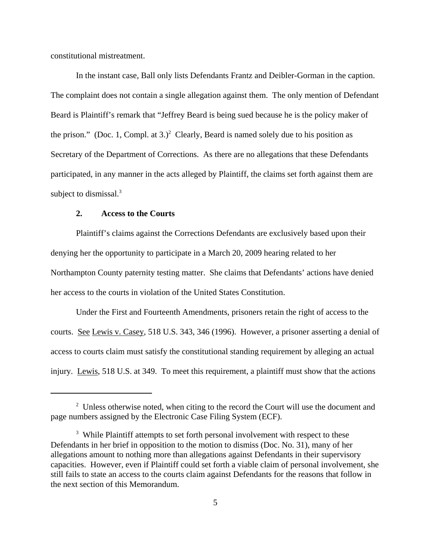constitutional mistreatment.

In the instant case, Ball only lists Defendants Frantz and Deibler-Gorman in the caption. The complaint does not contain a single allegation against them. The only mention of Defendant Beard is Plaintiff's remark that "Jeffrey Beard is being sued because he is the policy maker of the prison." (Doc. 1, Compl. at  $3.$ )<sup>2</sup> Clearly, Beard is named solely due to his position as Secretary of the Department of Corrections. As there are no allegations that these Defendants participated, in any manner in the acts alleged by Plaintiff, the claims set forth against them are subject to dismissal. $3$ 

### **2. Access to the Courts**

Plaintiff's claims against the Corrections Defendants are exclusively based upon their denying her the opportunity to participate in a March 20, 2009 hearing related to her Northampton County paternity testing matter. She claims that Defendants' actions have denied her access to the courts in violation of the United States Constitution.

Under the First and Fourteenth Amendments, prisoners retain the right of access to the courts. See Lewis v. Casey, 518 U.S. 343, 346 (1996). However, a prisoner asserting a denial of access to courts claim must satisfy the constitutional standing requirement by alleging an actual injury. Lewis, 518 U.S. at 349. To meet this requirement, a plaintiff must show that the actions

 $2$  Unless otherwise noted, when citing to the record the Court will use the document and page numbers assigned by the Electronic Case Filing System (ECF).

<sup>&</sup>lt;sup>3</sup> While Plaintiff attempts to set forth personal involvement with respect to these Defendants in her brief in opposition to the motion to dismiss (Doc. No. 31), many of her allegations amount to nothing more than allegations against Defendants in their supervisory capacities. However, even if Plaintiff could set forth a viable claim of personal involvement, she still fails to state an access to the courts claim against Defendants for the reasons that follow in the next section of this Memorandum.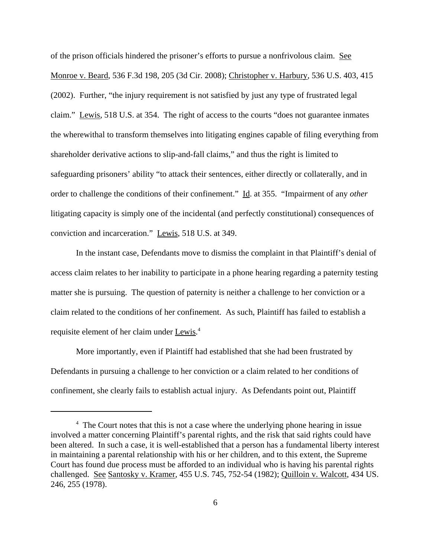of the prison officials hindered the prisoner's efforts to pursue a nonfrivolous claim. See Monroe v. Beard, 536 F.3d 198, 205 (3d Cir. 2008); Christopher v. Harbury, 536 U.S. 403, 415 (2002). Further, "the injury requirement is not satisfied by just any type of frustrated legal claim." Lewis, 518 U.S. at 354. The right of access to the courts "does not guarantee inmates the wherewithal to transform themselves into litigating engines capable of filing everything from shareholder derivative actions to slip-and-fall claims," and thus the right is limited to safeguarding prisoners' ability "to attack their sentences, either directly or collaterally, and in order to challenge the conditions of their confinement." Id. at 355. "Impairment of any *other* litigating capacity is simply one of the incidental (and perfectly constitutional) consequences of conviction and incarceration." Lewis, 518 U.S. at 349.

In the instant case, Defendants move to dismiss the complaint in that Plaintiff's denial of access claim relates to her inability to participate in a phone hearing regarding a paternity testing matter she is pursuing. The question of paternity is neither a challenge to her conviction or a claim related to the conditions of her confinement. As such, Plaintiff has failed to establish a requisite element of her claim under Lewis.<sup>4</sup>

More importantly, even if Plaintiff had established that she had been frustrated by Defendants in pursuing a challenge to her conviction or a claim related to her conditions of confinement, she clearly fails to establish actual injury. As Defendants point out, Plaintiff

<sup>&</sup>lt;sup>4</sup> The Court notes that this is not a case where the underlying phone hearing in issue involved a matter concerning Plaintiff's parental rights, and the risk that said rights could have been altered. In such a case, it is well-established that a person has a fundamental liberty interest in maintaining a parental relationship with his or her children, and to this extent, the Supreme Court has found due process must be afforded to an individual who is having his parental rights challenged. See Santosky v. Kramer, 455 U.S. 745, 752-54 (1982); Quilloin v. Walcott, 434 US. 246, 255 (1978).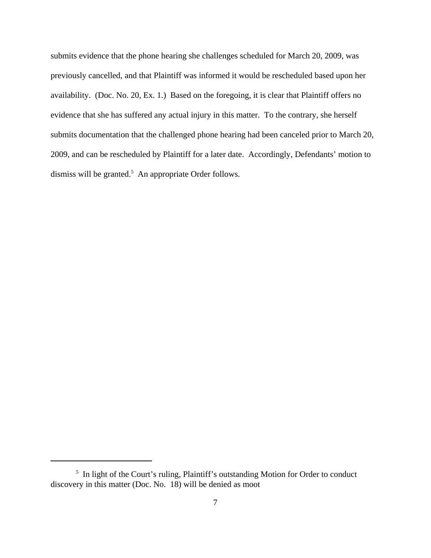submits evidence that the phone hearing she challenges scheduled for March 20, 2009, was previously cancelled, and that Plaintiff was informed it would be rescheduled based upon her availability. (Doc. No. 20, Ex. 1.) Based on the foregoing, it is clear that Plaintiff offers no evidence that she has suffered any actual injury in this matter. To the contrary, she herself submits documentation that the challenged phone hearing had been canceled prior to March 20, 2009, and can be rescheduled by Plaintiff for a later date. Accordingly, Defendants' motion to dismiss will be granted.<sup>5</sup> An appropriate Order follows.

<sup>&</sup>lt;sup>5</sup> In light of the Court's ruling, Plaintiff's outstanding Motion for Order to conduct discovery in this matter (Doc. No. 18) will be denied as moot